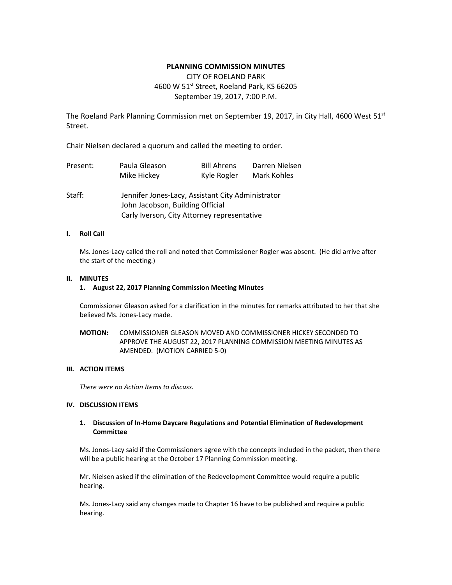# **PLANNING COMMISSION MINUTES**

# CITY OF ROELAND PARK 4600 W 51<sup>st</sup> Street, Roeland Park, KS 66205 September 19, 2017, 7:00 P.M.

The Roeland Park Planning Commission met on September 19, 2017, in City Hall, 4600 West  $51^{st}$ Street.

Chair Nielsen declared a quorum and called the meeting to order.

| Present: | Paula Gleason                                                                         | <b>Bill Ahrens</b> | Darren Nielsen |
|----------|---------------------------------------------------------------------------------------|--------------------|----------------|
|          | Mike Hickey                                                                           | Kyle Rogler        | Mark Kohles    |
| Staff:   | Jennifer Jones-Lacy, Assistant City Administrator<br>John Jacobson, Building Official |                    |                |
|          | Carly Iverson, City Attorney representative                                           |                    |                |

### **I. Roll Call**

Ms. Jones-Lacy called the roll and noted that Commissioner Rogler was absent. (He did arrive after the start of the meeting.)

### **II. MINUTES**

### **1. August 22, 2017 Planning Commission Meeting Minutes**

Commissioner Gleason asked for a clarification in the minutes for remarks attributed to her that she believed Ms. Jones-Lacy made.

**MOTION:** COMMISSIONER GLEASON MOVED AND COMMISSIONER HICKEY SECONDED TO APPROVE THE AUGUST 22, 2017 PLANNING COMMISSION MEETING MINUTES AS AMENDED. (MOTION CARRIED 5-0)

### **III. ACTION ITEMS**

*There were no Action Items to discuss.* 

# **IV. DISCUSSION ITEMS**

### **1. Discussion of In-Home Daycare Regulations and Potential Elimination of Redevelopment Committee**

Ms. Jones-Lacy said if the Commissioners agree with the concepts included in the packet, then there will be a public hearing at the October 17 Planning Commission meeting.

Mr. Nielsen asked if the elimination of the Redevelopment Committee would require a public hearing.

Ms. Jones-Lacy said any changes made to Chapter 16 have to be published and require a public hearing.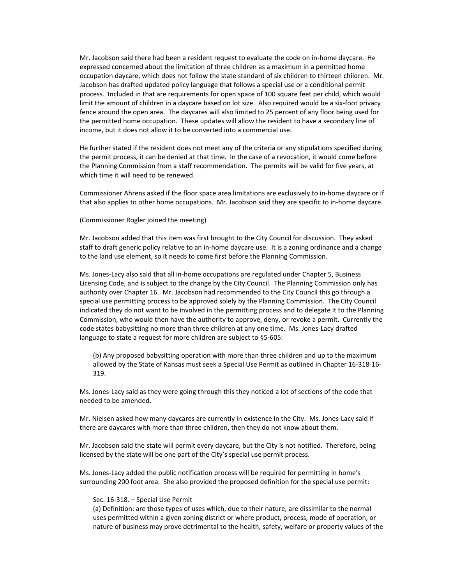Mr. Jacobson said there had been a resident request to evaluate the code on in-home daycare. He expressed concerned about the limitation of three children as a maximum in a permitted home occupation daycare, which does not follow the state standard of six children to thirteen children. Mr. Jacobson has drafted updated policy language that follows a special use or a conditional permit process. Included in that are requirements for open space of 100 square feet per child, which would limit the amount of children in a daycare based on lot size. Also required would be a six-foot privacy fence around the open area. The daycares will also limited to 25 percent of any floor being used for the permitted home occupation. These updates will allow the resident to have a secondary line of income, but it does not allow it to be converted into a commercial use.

He further stated if the resident does not meet any of the criteria or any stipulations specified during the permit process, it can be denied at that time. In the case of a revocation, it would come before the Planning Commission from a staff recommendation. The permits will be valid for five years, at which time it will need to be renewed.

Commissioner Ahrens asked if the floor space area limitations are exclusively to in-home daycare or if that also applies to other home occupations. Mr. Jacobson said they are specific to in-home daycare.

#### (Commissioner Rogler joined the meeting)

Mr. Jacobson added that this item was first brought to the City Council for discussion. They asked staff to draft generic policy relative to an in-home daycare use. It is a zoning ordinance and a change to the land use element, so it needs to come first before the Planning Commission.

Ms. Jones-Lacy also said that all in-home occupations are regulated under Chapter 5, Business Licensing Code, and is subject to the change by the City Council. The Planning Commission only has authority over Chapter 16. Mr. Jacobson had recommended to the City Council this go through a special use permitting process to be approved solely by the Planning Commission. The City Council indicated they do not want to be involved in the permitting process and to delegate it to the Planning Commission, who would then have the authority to approve, deny, or revoke a permit. Currently the code states babysitting no more than three children at any one time. Ms. Jones-Lacy drafted language to state a request for more children are subject to §5-605:

(b) Any proposed babysitting operation with more than three children and up to the maximum allowed by the State of Kansas must seek a Special Use Permit as outlined in Chapter 16-318-16- 319.

Ms. Jones-Lacy said as they were going through this they noticed a lot of sections of the code that needed to be amended.

Mr. Nielsen asked how many daycares are currently in existence in the City. Ms. Jones-Lacy said if there are daycares with more than three children, then they do not know about them.

Mr. Jacobson said the state will permit every daycare, but the City is not notified. Therefore, being licensed by the state will be one part of the City's special use permit process.

Ms. Jones-Lacy added the public notification process will be required for permitting in home's surrounding 200 foot area. She also provided the proposed definition for the special use permit:

#### Sec. 16-318. – Special Use Permit

(a) Definition: are those types of uses which, due to their nature, are dissimilar to the normal uses permitted within a given zoning district or where product, process, mode of operation, or nature of business may prove detrimental to the health, safety, welfare or property values of the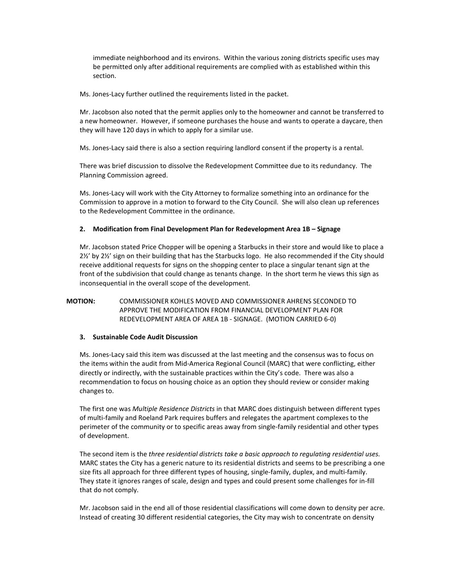immediate neighborhood and its environs. Within the various zoning districts specific uses may be permitted only after additional requirements are complied with as established within this section.

Ms. Jones-Lacy further outlined the requirements listed in the packet.

Mr. Jacobson also noted that the permit applies only to the homeowner and cannot be transferred to a new homeowner. However, if someone purchases the house and wants to operate a daycare, then they will have 120 days in which to apply for a similar use.

Ms. Jones-Lacy said there is also a section requiring landlord consent if the property is a rental.

There was brief discussion to dissolve the Redevelopment Committee due to its redundancy. The Planning Commission agreed.

Ms. Jones-Lacy will work with the City Attorney to formalize something into an ordinance for the Commission to approve in a motion to forward to the City Council. She will also clean up references to the Redevelopment Committee in the ordinance.

# **2. Modification from Final Development Plan for Redevelopment Area 1B – Signage**

Mr. Jacobson stated Price Chopper will be opening a Starbucks in their store and would like to place a 2½' by 2½' sign on their building that has the Starbucks logo. He also recommended if the City should receive additional requests for signs on the shopping center to place a singular tenant sign at the front of the subdivision that could change as tenants change. In the short term he views this sign as inconsequential in the overall scope of the development.

# **MOTION:** COMMISSIONER KOHLES MOVED AND COMMISSIONER AHRENS SECONDED TO APPROVE THE MODIFICATION FROM FINANCIAL DEVELOPMENT PLAN FOR REDEVELOPMENT AREA OF AREA 1B - SIGNAGE. (MOTION CARRIED 6-0)

### **3. Sustainable Code Audit Discussion**

Ms. Jones-Lacy said this item was discussed at the last meeting and the consensus was to focus on the items within the audit from Mid-America Regional Council (MARC) that were conflicting, either directly or indirectly, with the sustainable practices within the City's code. There was also a recommendation to focus on housing choice as an option they should review or consider making changes to.

The first one was *Multiple Residence Districts* in that MARC does distinguish between different types of multi-family and Roeland Park requires buffers and relegates the apartment complexes to the perimeter of the community or to specific areas away from single-family residential and other types of development.

The second item is the *three residential districts take a basic approach to regulating residential uses.* MARC states the City has a generic nature to its residential districts and seems to be prescribing a one size fits all approach for three different types of housing, single-family, duplex, and multi-family. They state it ignores ranges of scale, design and types and could present some challenges for in-fill that do not comply.

Mr. Jacobson said in the end all of those residential classifications will come down to density per acre. Instead of creating 30 different residential categories, the City may wish to concentrate on density